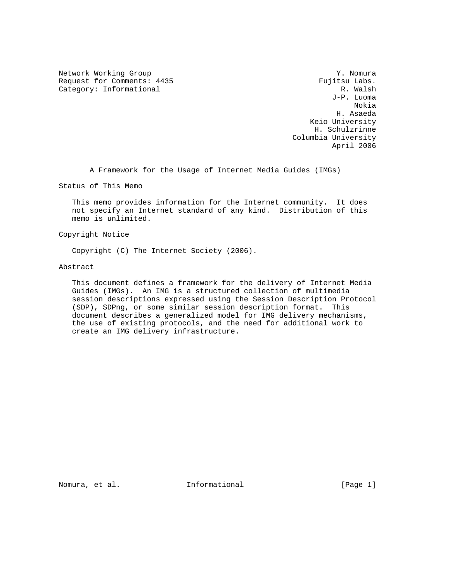Network Working Group 30 and 1999 and 1999 and 1999 and 1999 and 1999 and 1999 and 1999 and 1999 and 1999 and 1 Request for Comments: 4435 Fujitsu Labs.<br>
Category: Informational R. Walsh Category: Informational

 J-P. Luoma Nokia H. Asaeda Keio University H. Schulzrinne Columbia University April 2006

A Framework for the Usage of Internet Media Guides (IMGs)

Status of This Memo

 This memo provides information for the Internet community. It does not specify an Internet standard of any kind. Distribution of this memo is unlimited.

Copyright Notice

Copyright (C) The Internet Society (2006).

Abstract

 This document defines a framework for the delivery of Internet Media Guides (IMGs). An IMG is a structured collection of multimedia session descriptions expressed using the Session Description Protocol (SDP), SDPng, or some similar session description format. This document describes a generalized model for IMG delivery mechanisms, the use of existing protocols, and the need for additional work to create an IMG delivery infrastructure.

Nomura, et al.  $I$ nformational [Page 1]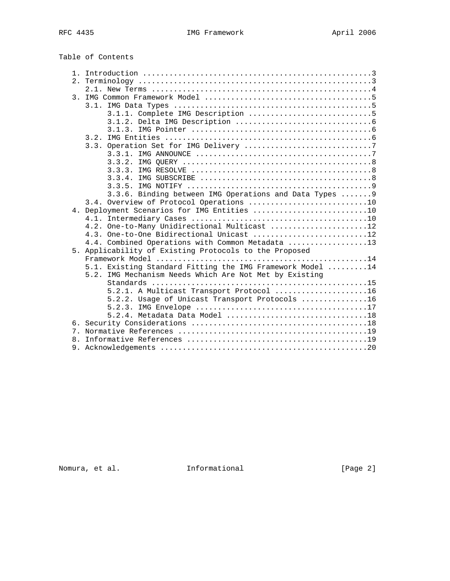Table of Contents

|              | 3.1.                                                      |
|--------------|-----------------------------------------------------------|
|              |                                                           |
|              |                                                           |
|              |                                                           |
|              |                                                           |
|              |                                                           |
|              |                                                           |
|              |                                                           |
|              |                                                           |
|              |                                                           |
|              |                                                           |
|              | 3.3.6. Binding between IMG Operations and Data Types  9   |
|              | 3.4. Overview of Protocol Operations 10                   |
|              | 4. Deployment Scenarios for IMG Entities 10               |
|              |                                                           |
|              | 4.2. One-to-Many Unidirectional Multicast 12              |
|              | 4.3. One-to-One Bidirectional Unicast 12                  |
|              | 4.4. Combined Operations with Common Metadata 13          |
|              | 5. Applicability of Existing Protocols to the Proposed    |
|              |                                                           |
|              | 5.1. Existing Standard Fitting the IMG Framework Model 14 |
|              | 5.2. IMG Mechanism Needs Which Are Not Met by Existing    |
|              |                                                           |
|              | 5.2.1. A Multicast Transport Protocol 16                  |
|              | 5.2.2. Usage of Unicast Transport Protocols 16            |
|              |                                                           |
|              |                                                           |
|              |                                                           |
| $\mathsf{R}$ |                                                           |
|              |                                                           |
|              |                                                           |

Nomura, et al. 1nformational 1999 [Page 2]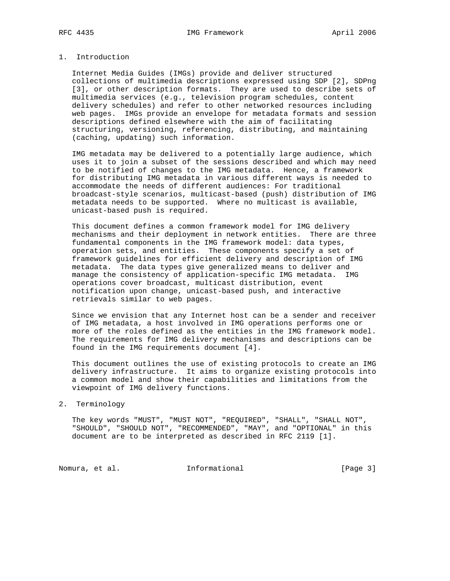# 1. Introduction

 Internet Media Guides (IMGs) provide and deliver structured collections of multimedia descriptions expressed using SDP [2], SDPng [3], or other description formats. They are used to describe sets of multimedia services (e.g., television program schedules, content delivery schedules) and refer to other networked resources including web pages. IMGs provide an envelope for metadata formats and session descriptions defined elsewhere with the aim of facilitating structuring, versioning, referencing, distributing, and maintaining (caching, updating) such information.

 IMG metadata may be delivered to a potentially large audience, which uses it to join a subset of the sessions described and which may need to be notified of changes to the IMG metadata. Hence, a framework for distributing IMG metadata in various different ways is needed to accommodate the needs of different audiences: For traditional broadcast-style scenarios, multicast-based (push) distribution of IMG metadata needs to be supported. Where no multicast is available, unicast-based push is required.

 This document defines a common framework model for IMG delivery mechanisms and their deployment in network entities. There are three fundamental components in the IMG framework model: data types, operation sets, and entities. These components specify a set of framework guidelines for efficient delivery and description of IMG metadata. The data types give generalized means to deliver and manage the consistency of application-specific IMG metadata. IMG operations cover broadcast, multicast distribution, event notification upon change, unicast-based push, and interactive retrievals similar to web pages.

 Since we envision that any Internet host can be a sender and receiver of IMG metadata, a host involved in IMG operations performs one or more of the roles defined as the entities in the IMG framework model. The requirements for IMG delivery mechanisms and descriptions can be found in the IMG requirements document [4].

 This document outlines the use of existing protocols to create an IMG delivery infrastructure. It aims to organize existing protocols into a common model and show their capabilities and limitations from the viewpoint of IMG delivery functions.

2. Terminology

 The key words "MUST", "MUST NOT", "REQUIRED", "SHALL", "SHALL NOT", "SHOULD", "SHOULD NOT", "RECOMMENDED", "MAY", and "OPTIONAL" in this document are to be interpreted as described in RFC 2119 [1].

Nomura, et al. 1nformational 1999 [Page 3]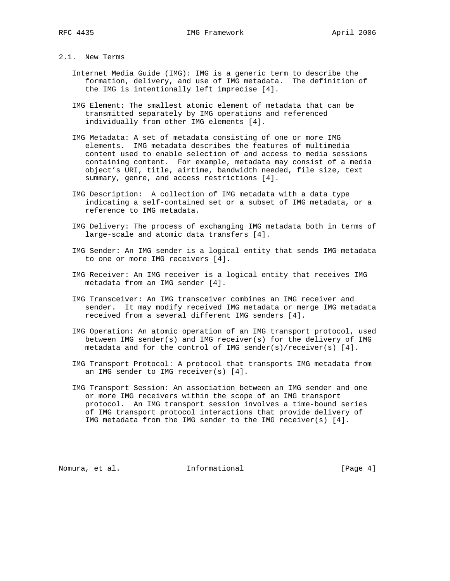## 2.1. New Terms

- Internet Media Guide (IMG): IMG is a generic term to describe the formation, delivery, and use of IMG metadata. The definition of the IMG is intentionally left imprecise [4].
- IMG Element: The smallest atomic element of metadata that can be transmitted separately by IMG operations and referenced individually from other IMG elements [4].
- IMG Metadata: A set of metadata consisting of one or more IMG elements. IMG metadata describes the features of multimedia content used to enable selection of and access to media sessions containing content. For example, metadata may consist of a media object's URI, title, airtime, bandwidth needed, file size, text summary, genre, and access restrictions [4].
	- IMG Description: A collection of IMG metadata with a data type indicating a self-contained set or a subset of IMG metadata, or a reference to IMG metadata.
	- IMG Delivery: The process of exchanging IMG metadata both in terms of large-scale and atomic data transfers [4].
	- IMG Sender: An IMG sender is a logical entity that sends IMG metadata to one or more IMG receivers [4].
	- IMG Receiver: An IMG receiver is a logical entity that receives IMG metadata from an IMG sender [4].
	- IMG Transceiver: An IMG transceiver combines an IMG receiver and sender. It may modify received IMG metadata or merge IMG metadata received from a several different IMG senders [4].
	- IMG Operation: An atomic operation of an IMG transport protocol, used between IMG sender(s) and IMG receiver(s) for the delivery of IMG metadata and for the control of IMG sender(s)/receiver(s) [4].
	- IMG Transport Protocol: A protocol that transports IMG metadata from an IMG sender to IMG receiver(s) [4].
	- IMG Transport Session: An association between an IMG sender and one or more IMG receivers within the scope of an IMG transport protocol. An IMG transport session involves a time-bound series of IMG transport protocol interactions that provide delivery of IMG metadata from the IMG sender to the IMG receiver(s) [4].

Nomura, et al. **Informational** [Page 4]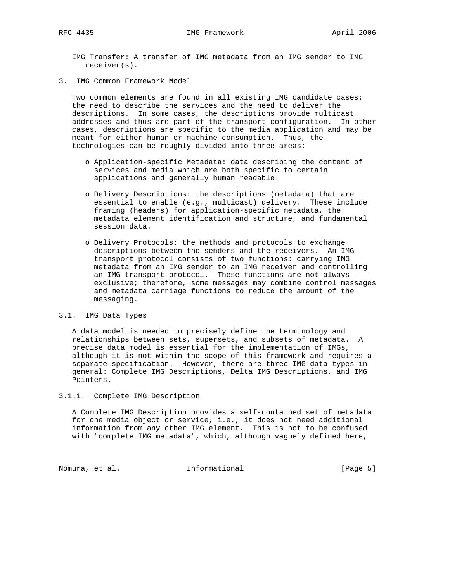IMG Transfer: A transfer of IMG metadata from an IMG sender to IMG receiver(s).

3. IMG Common Framework Model

 Two common elements are found in all existing IMG candidate cases: the need to describe the services and the need to deliver the descriptions. In some cases, the descriptions provide multicast addresses and thus are part of the transport configuration. In other cases, descriptions are specific to the media application and may be meant for either human or machine consumption. Thus, the technologies can be roughly divided into three areas:

- o Application-specific Metadata: data describing the content of services and media which are both specific to certain applications and generally human readable.
- o Delivery Descriptions: the descriptions (metadata) that are essential to enable (e.g., multicast) delivery. These include framing (headers) for application-specific metadata, the metadata element identification and structure, and fundamental session data.
- o Delivery Protocols: the methods and protocols to exchange descriptions between the senders and the receivers. An IMG transport protocol consists of two functions: carrying IMG metadata from an IMG sender to an IMG receiver and controlling an IMG transport protocol. These functions are not always exclusive; therefore, some messages may combine control messages and metadata carriage functions to reduce the amount of the messaging.

#### 3.1. IMG Data Types

 A data model is needed to precisely define the terminology and relationships between sets, supersets, and subsets of metadata. A precise data model is essential for the implementation of IMGs, although it is not within the scope of this framework and requires a separate specification. However, there are three IMG data types in general: Complete IMG Descriptions, Delta IMG Descriptions, and IMG Pointers.

### 3.1.1. Complete IMG Description

 A Complete IMG Description provides a self-contained set of metadata for one media object or service, i.e., it does not need additional information from any other IMG element. This is not to be confused with "complete IMG metadata", which, although vaguely defined here,

Nomura, et al. 1nformational 1999 [Page 5]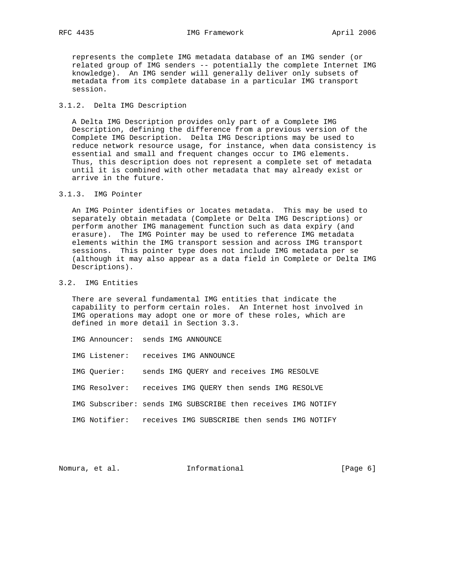represents the complete IMG metadata database of an IMG sender (or related group of IMG senders -- potentially the complete Internet IMG knowledge). An IMG sender will generally deliver only subsets of metadata from its complete database in a particular IMG transport session.

## 3.1.2. Delta IMG Description

 A Delta IMG Description provides only part of a Complete IMG Description, defining the difference from a previous version of the Complete IMG Description. Delta IMG Descriptions may be used to reduce network resource usage, for instance, when data consistency is essential and small and frequent changes occur to IMG elements. Thus, this description does not represent a complete set of metadata until it is combined with other metadata that may already exist or arrive in the future.

# 3.1.3. IMG Pointer

 An IMG Pointer identifies or locates metadata. This may be used to separately obtain metadata (Complete or Delta IMG Descriptions) or perform another IMG management function such as data expiry (and erasure). The IMG Pointer may be used to reference IMG metadata elements within the IMG transport session and across IMG transport sessions. This pointer type does not include IMG metadata per se (although it may also appear as a data field in Complete or Delta IMG Descriptions).

# 3.2. IMG Entities

 There are several fundamental IMG entities that indicate the capability to perform certain roles. An Internet host involved in IMG operations may adopt one or more of these roles, which are defined in more detail in Section 3.3.

- IMG Announcer: sends IMG ANNOUNCE
- IMG Listener: receives IMG ANNOUNCE
- IMG Querier: sends IMG QUERY and receives IMG RESOLVE
- IMG Resolver: receives IMG QUERY then sends IMG RESOLVE
- IMG Subscriber: sends IMG SUBSCRIBE then receives IMG NOTIFY
- IMG Notifier: receives IMG SUBSCRIBE then sends IMG NOTIFY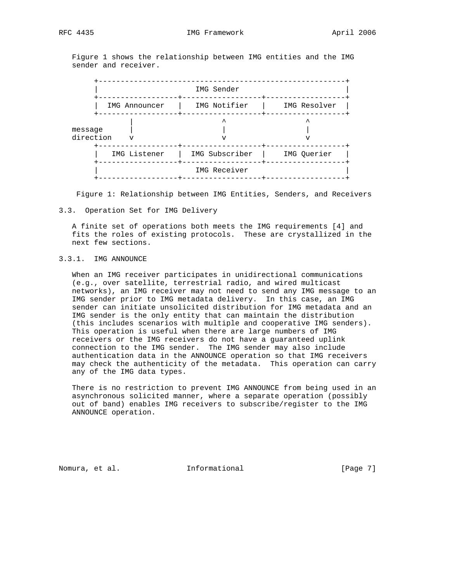Figure 1 shows the relationship between IMG entities and the IMG sender and receiver.



Figure 1: Relationship between IMG Entities, Senders, and Receivers

#### 3.3. Operation Set for IMG Delivery

 A finite set of operations both meets the IMG requirements [4] and fits the roles of existing protocols. These are crystallized in the next few sections.

## 3.3.1. IMG ANNOUNCE

 When an IMG receiver participates in unidirectional communications (e.g., over satellite, terrestrial radio, and wired multicast networks), an IMG receiver may not need to send any IMG message to an IMG sender prior to IMG metadata delivery. In this case, an IMG sender can initiate unsolicited distribution for IMG metadata and an IMG sender is the only entity that can maintain the distribution (this includes scenarios with multiple and cooperative IMG senders). This operation is useful when there are large numbers of IMG receivers or the IMG receivers do not have a guaranteed uplink connection to the IMG sender. The IMG sender may also include authentication data in the ANNOUNCE operation so that IMG receivers may check the authenticity of the metadata. This operation can carry any of the IMG data types.

 There is no restriction to prevent IMG ANNOUNCE from being used in an asynchronous solicited manner, where a separate operation (possibly out of band) enables IMG receivers to subscribe/register to the IMG ANNOUNCE operation.

Nomura, et al. 1nformational 1999 [Page 7]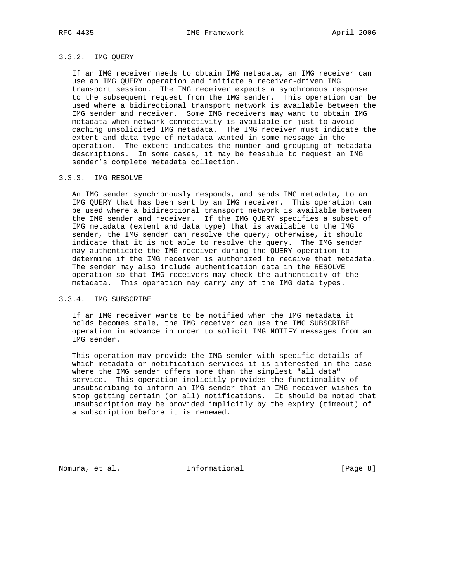## 3.3.2. IMG QUERY

 If an IMG receiver needs to obtain IMG metadata, an IMG receiver can use an IMG QUERY operation and initiate a receiver-driven IMG transport session. The IMG receiver expects a synchronous response to the subsequent request from the IMG sender. This operation can be used where a bidirectional transport network is available between the IMG sender and receiver. Some IMG receivers may want to obtain IMG metadata when network connectivity is available or just to avoid caching unsolicited IMG metadata. The IMG receiver must indicate the extent and data type of metadata wanted in some message in the operation. The extent indicates the number and grouping of metadata descriptions. In some cases, it may be feasible to request an IMG sender's complete metadata collection.

## 3.3.3. IMG RESOLVE

 An IMG sender synchronously responds, and sends IMG metadata, to an IMG QUERY that has been sent by an IMG receiver. This operation can be used where a bidirectional transport network is available between the IMG sender and receiver. If the IMG QUERY specifies a subset of IMG metadata (extent and data type) that is available to the IMG sender, the IMG sender can resolve the query; otherwise, it should indicate that it is not able to resolve the query. The IMG sender may authenticate the IMG receiver during the QUERY operation to determine if the IMG receiver is authorized to receive that metadata. The sender may also include authentication data in the RESOLVE operation so that IMG receivers may check the authenticity of the metadata. This operation may carry any of the IMG data types.

# 3.3.4. IMG SUBSCRIBE

 If an IMG receiver wants to be notified when the IMG metadata it holds becomes stale, the IMG receiver can use the IMG SUBSCRIBE operation in advance in order to solicit IMG NOTIFY messages from an IMG sender.

 This operation may provide the IMG sender with specific details of which metadata or notification services it is interested in the case where the IMG sender offers more than the simplest "all data" service. This operation implicitly provides the functionality of unsubscribing to inform an IMG sender that an IMG receiver wishes to stop getting certain (or all) notifications. It should be noted that unsubscription may be provided implicitly by the expiry (timeout) of a subscription before it is renewed.

Nomura, et al. **Informational** [Page 8]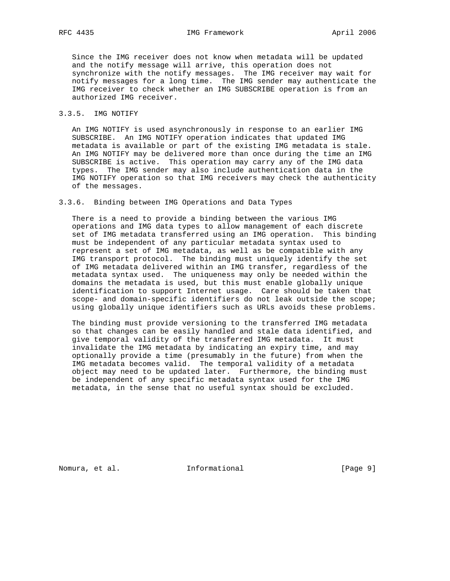Since the IMG receiver does not know when metadata will be updated and the notify message will arrive, this operation does not synchronize with the notify messages. The IMG receiver may wait for notify messages for a long time. The IMG sender may authenticate the IMG receiver to check whether an IMG SUBSCRIBE operation is from an authorized IMG receiver.

### 3.3.5. IMG NOTIFY

 An IMG NOTIFY is used asynchronously in response to an earlier IMG SUBSCRIBE. An IMG NOTIFY operation indicates that updated IMG metadata is available or part of the existing IMG metadata is stale. An IMG NOTIFY may be delivered more than once during the time an IMG SUBSCRIBE is active. This operation may carry any of the IMG data types. The IMG sender may also include authentication data in the IMG NOTIFY operation so that IMG receivers may check the authenticity of the messages.

## 3.3.6. Binding between IMG Operations and Data Types

 There is a need to provide a binding between the various IMG operations and IMG data types to allow management of each discrete set of IMG metadata transferred using an IMG operation. This binding must be independent of any particular metadata syntax used to represent a set of IMG metadata, as well as be compatible with any IMG transport protocol. The binding must uniquely identify the set of IMG metadata delivered within an IMG transfer, regardless of the metadata syntax used. The uniqueness may only be needed within the domains the metadata is used, but this must enable globally unique identification to support Internet usage. Care should be taken that scope- and domain-specific identifiers do not leak outside the scope; using globally unique identifiers such as URLs avoids these problems.

 The binding must provide versioning to the transferred IMG metadata so that changes can be easily handled and stale data identified, and give temporal validity of the transferred IMG metadata. It must invalidate the IMG metadata by indicating an expiry time, and may optionally provide a time (presumably in the future) from when the IMG metadata becomes valid. The temporal validity of a metadata object may need to be updated later. Furthermore, the binding must be independent of any specific metadata syntax used for the IMG metadata, in the sense that no useful syntax should be excluded.

Nomura, et al. 1nformational 1999 [Page 9]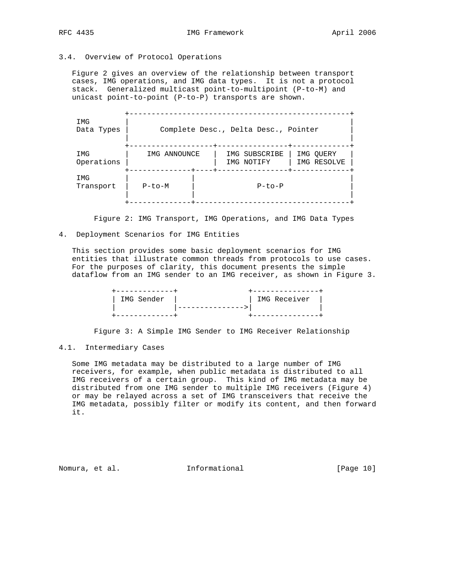# 3.4. Overview of Protocol Operations

 Figure 2 gives an overview of the relationship between transport cases, IMG operations, and IMG data types. It is not a protocol stack. Generalized multicast point-to-multipoint (P-to-M) and unicast point-to-point (P-to-P) transports are shown.

| IMG<br>Data Types | Complete Desc., Delta Desc., Pointer |                             |                          |  |  |
|-------------------|--------------------------------------|-----------------------------|--------------------------|--|--|
| IMG<br>Operations | IMG ANNOUNCE                         | IMG SUBSCRIBE<br>IMG NOTIFY | IMG OUERY<br>IMG RESOLVE |  |  |
| IMG<br>Transport  | $P-to-M$                             | $P-to-P$                    |                          |  |  |

Figure 2: IMG Transport, IMG Operations, and IMG Data Types

#### 4. Deployment Scenarios for IMG Entities

 This section provides some basic deployment scenarios for IMG entities that illustrate common threads from protocols to use cases. For the purposes of clarity, this document presents the simple dataflow from an IMG sender to an IMG receiver, as shown in Figure 3.

| IMG Sender | IMG Receiver |
|------------|--------------|
|            |              |
|            |              |

Figure 3: A Simple IMG Sender to IMG Receiver Relationship

## 4.1. Intermediary Cases

 Some IMG metadata may be distributed to a large number of IMG receivers, for example, when public metadata is distributed to all IMG receivers of a certain group. This kind of IMG metadata may be distributed from one IMG sender to multiple IMG receivers (Figure 4) or may be relayed across a set of IMG transceivers that receive the IMG metadata, possibly filter or modify its content, and then forward it.

Nomura, et al. **Informational** [Page 10]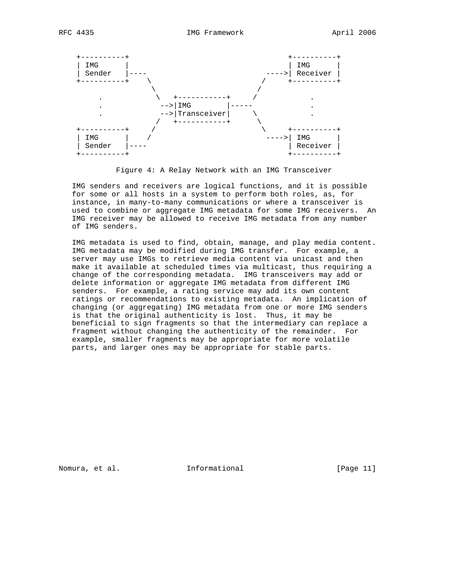

Figure 4: A Relay Network with an IMG Transceiver

 IMG senders and receivers are logical functions, and it is possible for some or all hosts in a system to perform both roles, as, for instance, in many-to-many communications or where a transceiver is used to combine or aggregate IMG metadata for some IMG receivers. An IMG receiver may be allowed to receive IMG metadata from any number of IMG senders.

 IMG metadata is used to find, obtain, manage, and play media content. IMG metadata may be modified during IMG transfer. For example, a server may use IMGs to retrieve media content via unicast and then make it available at scheduled times via multicast, thus requiring a change of the corresponding metadata. IMG transceivers may add or delete information or aggregate IMG metadata from different IMG senders. For example, a rating service may add its own content ratings or recommendations to existing metadata. An implication of changing (or aggregating) IMG metadata from one or more IMG senders is that the original authenticity is lost. Thus, it may be beneficial to sign fragments so that the intermediary can replace a fragment without changing the authenticity of the remainder. For example, smaller fragments may be appropriate for more volatile parts, and larger ones may be appropriate for stable parts.

Nomura, et al. 100 millional 11 millional momentum informational contract in the set of  $[Page 11]$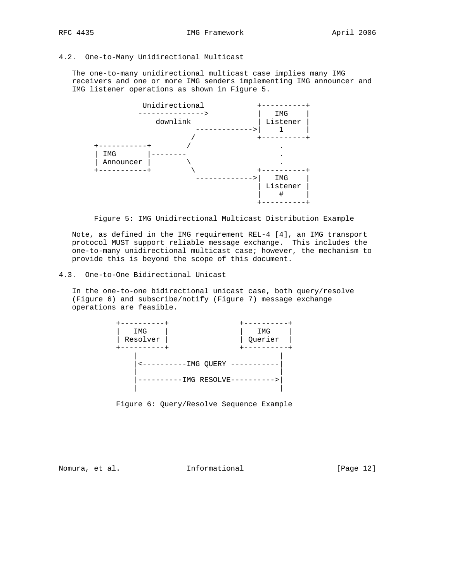# 4.2. One-to-Many Unidirectional Multicast

 The one-to-many unidirectional multicast case implies many IMG receivers and one or more IMG senders implementing IMG announcer and IMG listener operations as shown in Figure 5.



Figure 5: IMG Unidirectional Multicast Distribution Example

 Note, as defined in the IMG requirement REL-4 [4], an IMG transport protocol MUST support reliable message exchange. This includes the one-to-many unidirectional multicast case; however, the mechanism to provide this is beyond the scope of this document.

### 4.3. One-to-One Bidirectional Unicast

 In the one-to-one bidirectional unicast case, both query/resolve (Figure 6) and subscribe/notify (Figure 7) message exchange operations are feasible.



Figure 6: Query/Resolve Sequence Example

Nomura, et al. 100 millional 11 millional contractional [Page 12]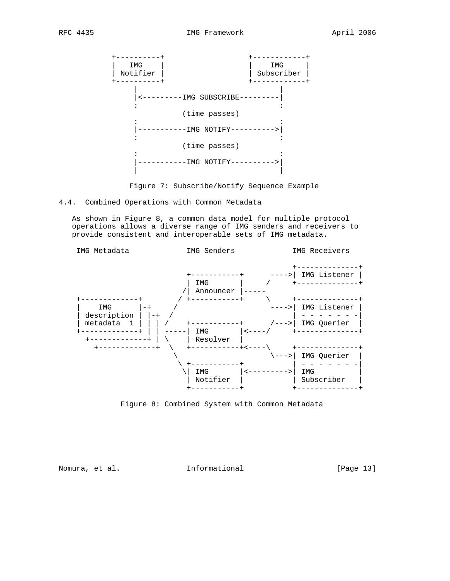

Figure 7: Subscribe/Notify Sequence Example

4.4. Combined Operations with Common Metadata

 As shown in Figure 8, a common data model for multiple protocol operations allows a diverse range of IMG senders and receivers to provide consistent and interoperable sets of IMG metadata.



Figure 8: Combined System with Common Metadata

Nomura, et al. 1nformational 1999 [Page 13]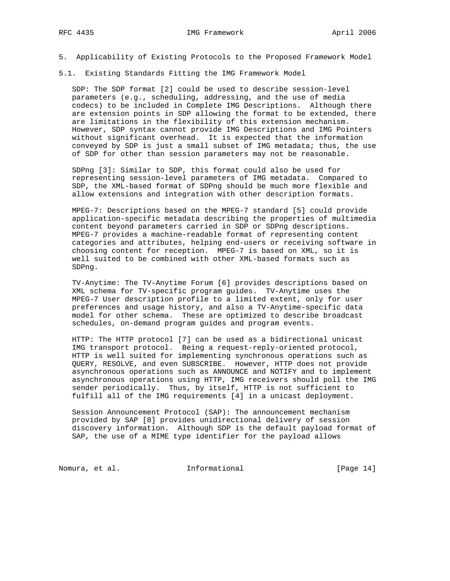- 5. Applicability of Existing Protocols to the Proposed Framework Model
- 5.1. Existing Standards Fitting the IMG Framework Model

 SDP: The SDP format [2] could be used to describe session-level parameters (e.g., scheduling, addressing, and the use of media codecs) to be included in Complete IMG Descriptions. Although there are extension points in SDP allowing the format to be extended, there are limitations in the flexibility of this extension mechanism. However, SDP syntax cannot provide IMG Descriptions and IMG Pointers without significant overhead. It is expected that the information conveyed by SDP is just a small subset of IMG metadata; thus, the use of SDP for other than session parameters may not be reasonable.

 SDPng [3]: Similar to SDP, this format could also be used for representing session-level parameters of IMG metadata. Compared to SDP, the XML-based format of SDPng should be much more flexible and allow extensions and integration with other description formats.

 MPEG-7: Descriptions based on the MPEG-7 standard [5] could provide application-specific metadata describing the properties of multimedia content beyond parameters carried in SDP or SDPng descriptions. MPEG-7 provides a machine-readable format of representing content categories and attributes, helping end-users or receiving software in choosing content for reception. MPEG-7 is based on XML, so it is well suited to be combined with other XML-based formats such as SDPng.

 TV-Anytime: The TV-Anytime Forum [6] provides descriptions based on XML schema for TV-specific program guides. TV-Anytime uses the MPEG-7 User description profile to a limited extent, only for user preferences and usage history, and also a TV-Anytime-specific data model for other schema. These are optimized to describe broadcast schedules, on-demand program guides and program events.

 HTTP: The HTTP protocol [7] can be used as a bidirectional unicast IMG transport protocol. Being a request-reply-oriented protocol, HTTP is well suited for implementing synchronous operations such as QUERY, RESOLVE, and even SUBSCRIBE. However, HTTP does not provide asynchronous operations such as ANNOUNCE and NOTIFY and to implement asynchronous operations using HTTP, IMG receivers should poll the IMG sender periodically. Thus, by itself, HTTP is not sufficient to fulfill all of the IMG requirements [4] in a unicast deployment.

 Session Announcement Protocol (SAP): The announcement mechanism provided by SAP [8] provides unidirectional delivery of session discovery information. Although SDP is the default payload format of SAP, the use of a MIME type identifier for the payload allows

Nomura, et al. 1nformational [Page 14]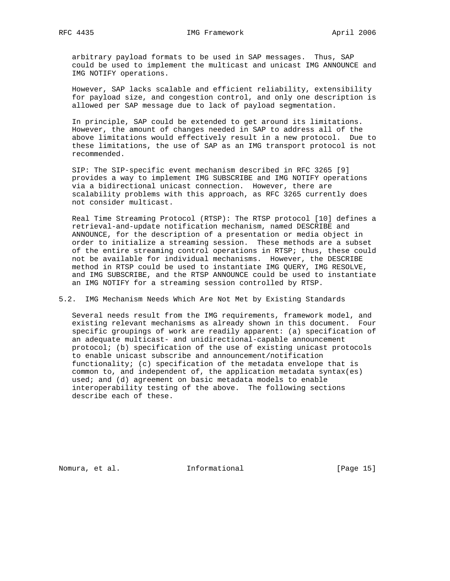arbitrary payload formats to be used in SAP messages. Thus, SAP could be used to implement the multicast and unicast IMG ANNOUNCE and IMG NOTIFY operations.

 However, SAP lacks scalable and efficient reliability, extensibility for payload size, and congestion control, and only one description is allowed per SAP message due to lack of payload segmentation.

 In principle, SAP could be extended to get around its limitations. However, the amount of changes needed in SAP to address all of the above limitations would effectively result in a new protocol. Due to these limitations, the use of SAP as an IMG transport protocol is not recommended.

 SIP: The SIP-specific event mechanism described in RFC 3265 [9] provides a way to implement IMG SUBSCRIBE and IMG NOTIFY operations via a bidirectional unicast connection. However, there are scalability problems with this approach, as RFC 3265 currently does not consider multicast.

 Real Time Streaming Protocol (RTSP): The RTSP protocol [10] defines a retrieval-and-update notification mechanism, named DESCRIBE and ANNOUNCE, for the description of a presentation or media object in order to initialize a streaming session. These methods are a subset of the entire streaming control operations in RTSP; thus, these could not be available for individual mechanisms. However, the DESCRIBE method in RTSP could be used to instantiate IMG QUERY, IMG RESOLVE, and IMG SUBSCRIBE, and the RTSP ANNOUNCE could be used to instantiate an IMG NOTIFY for a streaming session controlled by RTSP.

5.2. IMG Mechanism Needs Which Are Not Met by Existing Standards

 Several needs result from the IMG requirements, framework model, and existing relevant mechanisms as already shown in this document. Four specific groupings of work are readily apparent: (a) specification of an adequate multicast- and unidirectional-capable announcement protocol; (b) specification of the use of existing unicast protocols to enable unicast subscribe and announcement/notification functionality; (c) specification of the metadata envelope that is common to, and independent of, the application metadata syntax(es) used; and (d) agreement on basic metadata models to enable interoperability testing of the above. The following sections describe each of these.

Nomura, et al. 100 millional 11 millional momentum (Page 15)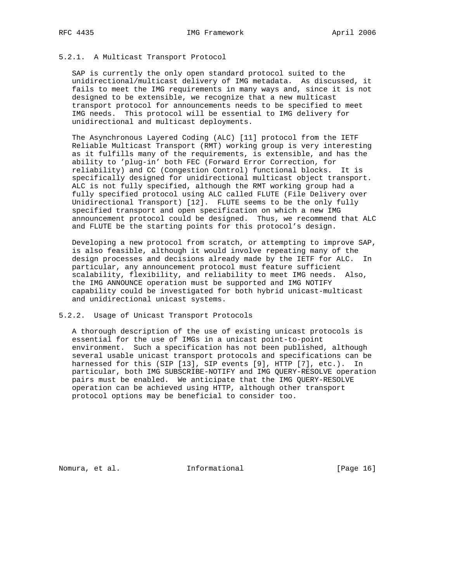## 5.2.1. A Multicast Transport Protocol

 SAP is currently the only open standard protocol suited to the unidirectional/multicast delivery of IMG metadata. As discussed, it fails to meet the IMG requirements in many ways and, since it is not designed to be extensible, we recognize that a new multicast transport protocol for announcements needs to be specified to meet IMG needs. This protocol will be essential to IMG delivery for unidirectional and multicast deployments.

 The Asynchronous Layered Coding (ALC) [11] protocol from the IETF Reliable Multicast Transport (RMT) working group is very interesting as it fulfills many of the requirements, is extensible, and has the ability to 'plug-in' both FEC (Forward Error Correction, for reliability) and CC (Congestion Control) functional blocks. It is specifically designed for unidirectional multicast object transport. ALC is not fully specified, although the RMT working group had a fully specified protocol using ALC called FLUTE (File Delivery over Unidirectional Transport) [12]. FLUTE seems to be the only fully specified transport and open specification on which a new IMG announcement protocol could be designed. Thus, we recommend that ALC and FLUTE be the starting points for this protocol's design.

 Developing a new protocol from scratch, or attempting to improve SAP, is also feasible, although it would involve repeating many of the design processes and decisions already made by the IETF for ALC. In particular, any announcement protocol must feature sufficient scalability, flexibility, and reliability to meet IMG needs. Also, the IMG ANNOUNCE operation must be supported and IMG NOTIFY capability could be investigated for both hybrid unicast-multicast and unidirectional unicast systems.

5.2.2. Usage of Unicast Transport Protocols

 A thorough description of the use of existing unicast protocols is essential for the use of IMGs in a unicast point-to-point environment. Such a specification has not been published, although several usable unicast transport protocols and specifications can be harnessed for this (SIP [13], SIP events [9], HTTP [7], etc.). In particular, both IMG SUBSCRIBE-NOTIFY and IMG QUERY-RESOLVE operation pairs must be enabled. We anticipate that the IMG QUERY-RESOLVE operation can be achieved using HTTP, although other transport protocol options may be beneficial to consider too.

Nomura, et al. 100 mm informational 100 mm informational [Page 16]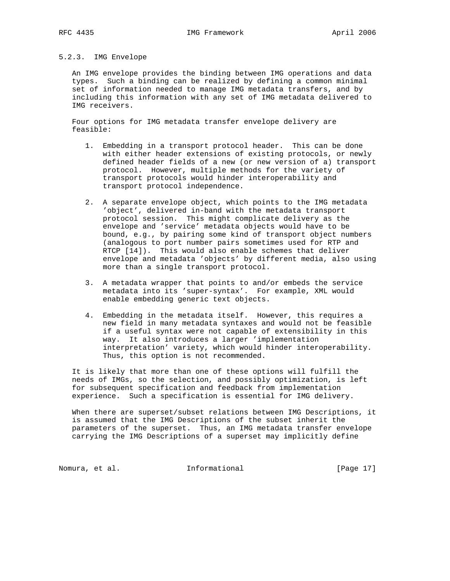## 5.2.3. IMG Envelope

 An IMG envelope provides the binding between IMG operations and data types. Such a binding can be realized by defining a common minimal set of information needed to manage IMG metadata transfers, and by including this information with any set of IMG metadata delivered to IMG receivers.

 Four options for IMG metadata transfer envelope delivery are feasible:

- 1. Embedding in a transport protocol header. This can be done with either header extensions of existing protocols, or newly defined header fields of a new (or new version of a) transport protocol. However, multiple methods for the variety of transport protocols would hinder interoperability and transport protocol independence.
- 2. A separate envelope object, which points to the IMG metadata 'object', delivered in-band with the metadata transport protocol session. This might complicate delivery as the envelope and 'service' metadata objects would have to be bound, e.g., by pairing some kind of transport object numbers (analogous to port number pairs sometimes used for RTP and RTCP [14]). This would also enable schemes that deliver envelope and metadata 'objects' by different media, also using more than a single transport protocol.
- 3. A metadata wrapper that points to and/or embeds the service metadata into its 'super-syntax'. For example, XML would enable embedding generic text objects.
- 4. Embedding in the metadata itself. However, this requires a new field in many metadata syntaxes and would not be feasible if a useful syntax were not capable of extensibility in this way. It also introduces a larger 'implementation interpretation' variety, which would hinder interoperability. Thus, this option is not recommended.

 It is likely that more than one of these options will fulfill the needs of IMGs, so the selection, and possibly optimization, is left for subsequent specification and feedback from implementation experience. Such a specification is essential for IMG delivery.

 When there are superset/subset relations between IMG Descriptions, it is assumed that the IMG Descriptions of the subset inherit the parameters of the superset. Thus, an IMG metadata transfer envelope carrying the IMG Descriptions of a superset may implicitly define

Nomura, et al. 100 mm informational 100 mm informational [Page 17]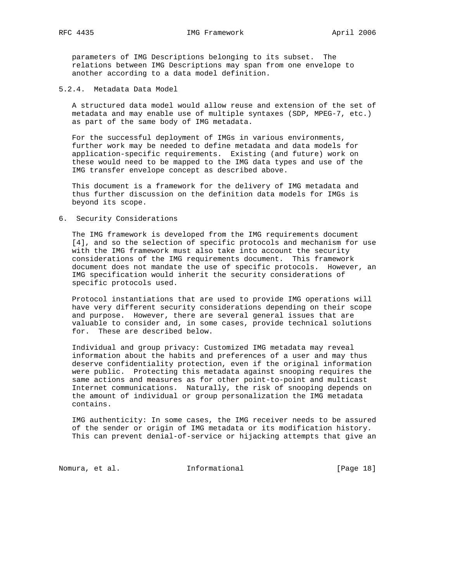parameters of IMG Descriptions belonging to its subset. The relations between IMG Descriptions may span from one envelope to another according to a data model definition.

#### 5.2.4. Metadata Data Model

 A structured data model would allow reuse and extension of the set of metadata and may enable use of multiple syntaxes (SDP, MPEG-7, etc.) as part of the same body of IMG metadata.

 For the successful deployment of IMGs in various environments, further work may be needed to define metadata and data models for application-specific requirements. Existing (and future) work on these would need to be mapped to the IMG data types and use of the IMG transfer envelope concept as described above.

 This document is a framework for the delivery of IMG metadata and thus further discussion on the definition data models for IMGs is beyond its scope.

#### 6. Security Considerations

 The IMG framework is developed from the IMG requirements document [4], and so the selection of specific protocols and mechanism for use with the IMG framework must also take into account the security considerations of the IMG requirements document. This framework document does not mandate the use of specific protocols. However, an IMG specification would inherit the security considerations of specific protocols used.

 Protocol instantiations that are used to provide IMG operations will have very different security considerations depending on their scope and purpose. However, there are several general issues that are valuable to consider and, in some cases, provide technical solutions for. These are described below.

 Individual and group privacy: Customized IMG metadata may reveal information about the habits and preferences of a user and may thus deserve confidentiality protection, even if the original information were public. Protecting this metadata against snooping requires the same actions and measures as for other point-to-point and multicast Internet communications. Naturally, the risk of snooping depends on the amount of individual or group personalization the IMG metadata contains.

 IMG authenticity: In some cases, the IMG receiver needs to be assured of the sender or origin of IMG metadata or its modification history. This can prevent denial-of-service or hijacking attempts that give an

Nomura, et al. 100 millional 11 millional contractional [Page 18]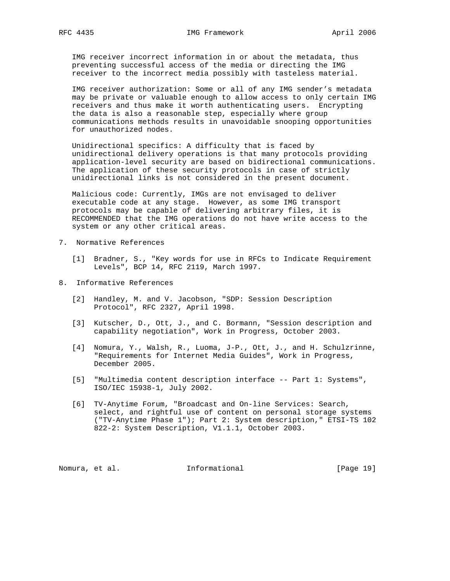IMG receiver incorrect information in or about the metadata, thus preventing successful access of the media or directing the IMG receiver to the incorrect media possibly with tasteless material.

 IMG receiver authorization: Some or all of any IMG sender's metadata may be private or valuable enough to allow access to only certain IMG receivers and thus make it worth authenticating users. Encrypting the data is also a reasonable step, especially where group communications methods results in unavoidable snooping opportunities for unauthorized nodes.

 Unidirectional specifics: A difficulty that is faced by unidirectional delivery operations is that many protocols providing application-level security are based on bidirectional communications. The application of these security protocols in case of strictly unidirectional links is not considered in the present document.

 Malicious code: Currently, IMGs are not envisaged to deliver executable code at any stage. However, as some IMG transport protocols may be capable of delivering arbitrary files, it is RECOMMENDED that the IMG operations do not have write access to the system or any other critical areas.

- 7. Normative References
	- [1] Bradner, S., "Key words for use in RFCs to Indicate Requirement Levels", BCP 14, RFC 2119, March 1997.
- 8. Informative References
	- [2] Handley, M. and V. Jacobson, "SDP: Session Description Protocol", RFC 2327, April 1998.
	- [3] Kutscher, D., Ott, J., and C. Bormann, "Session description and capability negotiation", Work in Progress, October 2003.
	- [4] Nomura, Y., Walsh, R., Luoma, J-P., Ott, J., and H. Schulzrinne, "Requirements for Internet Media Guides", Work in Progress, December 2005.
	- [5] "Multimedia content description interface -- Part 1: Systems", ISO/IEC 15938-1, July 2002.
	- [6] TV-Anytime Forum, "Broadcast and On-line Services: Search, select, and rightful use of content on personal storage systems ("TV-Anytime Phase 1"); Part 2: System description," ETSI-TS 102 822-2: System Description, V1.1.1, October 2003.

Nomura, et al. 10 millional 11 millional 19 million (Page 19)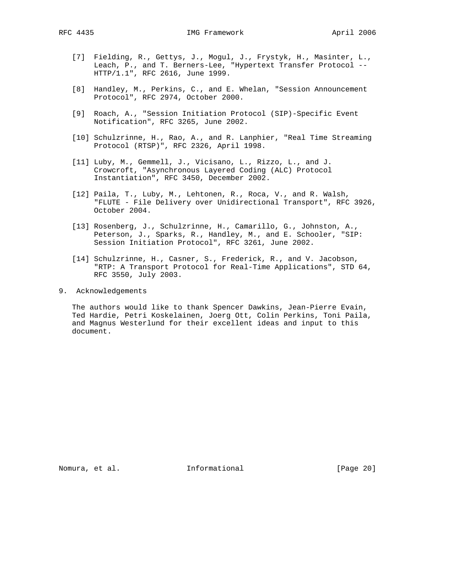- [7] Fielding, R., Gettys, J., Mogul, J., Frystyk, H., Masinter, L., Leach, P., and T. Berners-Lee, "Hypertext Transfer Protocol -- HTTP/1.1", RFC 2616, June 1999.
- [8] Handley, M., Perkins, C., and E. Whelan, "Session Announcement Protocol", RFC 2974, October 2000.
- [9] Roach, A., "Session Initiation Protocol (SIP)-Specific Event Notification", RFC 3265, June 2002.
- [10] Schulzrinne, H., Rao, A., and R. Lanphier, "Real Time Streaming Protocol (RTSP)", RFC 2326, April 1998.
- [11] Luby, M., Gemmell, J., Vicisano, L., Rizzo, L., and J. Crowcroft, "Asynchronous Layered Coding (ALC) Protocol Instantiation", RFC 3450, December 2002.
- [12] Paila, T., Luby, M., Lehtonen, R., Roca, V., and R. Walsh, "FLUTE - File Delivery over Unidirectional Transport", RFC 3926, October 2004.
- [13] Rosenberg, J., Schulzrinne, H., Camarillo, G., Johnston, A., Peterson, J., Sparks, R., Handley, M., and E. Schooler, "SIP: Session Initiation Protocol", RFC 3261, June 2002.
- [14] Schulzrinne, H., Casner, S., Frederick, R., and V. Jacobson, "RTP: A Transport Protocol for Real-Time Applications", STD 64, RFC 3550, July 2003.
- 9. Acknowledgements

 The authors would like to thank Spencer Dawkins, Jean-Pierre Evain, Ted Hardie, Petri Koskelainen, Joerg Ott, Colin Perkins, Toni Paila, and Magnus Westerlund for their excellent ideas and input to this document.

Nomura, et al. 1nformational 1999 [Page 20]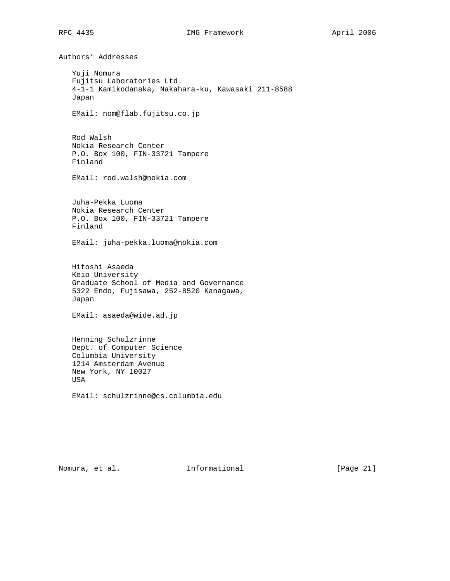Authors' Addresses Yuji Nomura Fujitsu Laboratories Ltd. 4-1-1 Kamikodanaka, Nakahara-ku, Kawasaki 211-8588 Japan EMail: nom@flab.fujitsu.co.jp Rod Walsh Nokia Research Center P.O. Box 100, FIN-33721 Tampere Finland EMail: rod.walsh@nokia.com Juha-Pekka Luoma Nokia Research Center P.O. Box 100, FIN-33721 Tampere Finland EMail: juha-pekka.luoma@nokia.com Hitoshi Asaeda Keio University Graduate School of Media and Governance 5322 Endo, Fujisawa, 252-8520 Kanagawa, Japan EMail: asaeda@wide.ad.jp Henning Schulzrinne Dept. of Computer Science Columbia University 1214 Amsterdam Avenue New York, NY 10027 USA EMail: schulzrinne@cs.columbia.edu

Nomura, et al. 1nformational 1999 [Page 21]